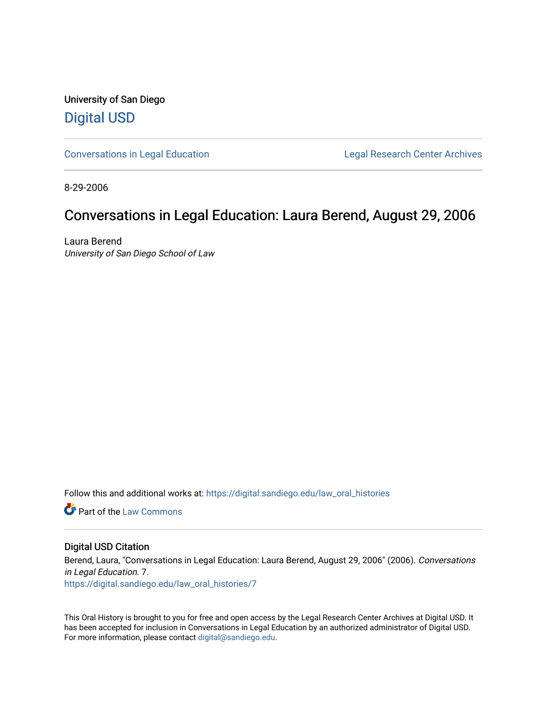University of San Diego [Digital USD](https://digital.sandiego.edu/)

[Conversations in Legal Education](https://digital.sandiego.edu/law_oral_histories) **Legal Research Center Archives** 

8-29-2006

#### Conversations in Legal Education: Laura Berend, August 29, 2006

Laura Berend University of San Diego School of Law

Follow this and additional works at: [https://digital.sandiego.edu/law\\_oral\\_histories](https://digital.sandiego.edu/law_oral_histories?utm_source=digital.sandiego.edu%2Flaw_oral_histories%2F7&utm_medium=PDF&utm_campaign=PDFCoverPages) 

**C** Part of the [Law Commons](http://network.bepress.com/hgg/discipline/578?utm_source=digital.sandiego.edu%2Flaw_oral_histories%2F7&utm_medium=PDF&utm_campaign=PDFCoverPages)

#### Digital USD Citation

Berend, Laura, "Conversations in Legal Education: Laura Berend, August 29, 2006" (2006). Conversations in Legal Education. 7. [https://digital.sandiego.edu/law\\_oral\\_histories/7](https://digital.sandiego.edu/law_oral_histories/7?utm_source=digital.sandiego.edu%2Flaw_oral_histories%2F7&utm_medium=PDF&utm_campaign=PDFCoverPages)

This Oral History is brought to you for free and open access by the Legal Research Center Archives at Digital USD. It has been accepted for inclusion in Conversations in Legal Education by an authorized administrator of Digital USD. For more information, please contact [digital@sandiego.edu](mailto:digital@sandiego.edu).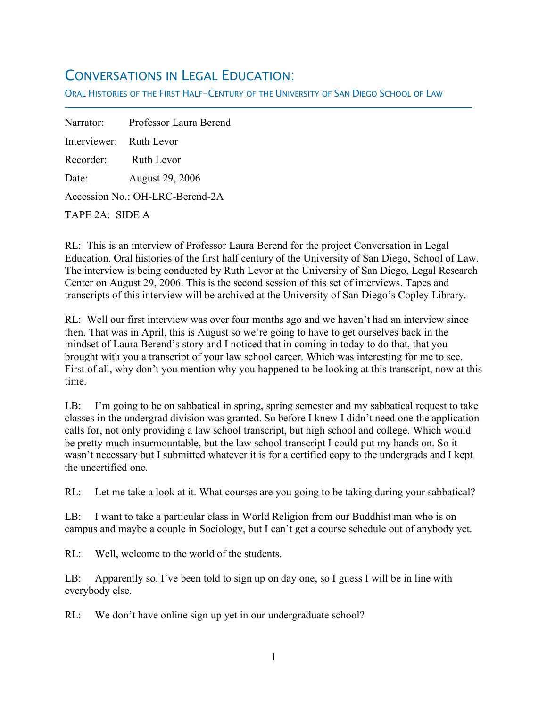# CONVERSATIONS IN LEGAL EDUCATION:

ORAL HISTORIES OF THE FIRST HALF-CENTURY OF THE UNIVERSITY OF SAN DIEGO SCHOOL OF LAW

Narrator: Professor Laura Berend Interviewer: Ruth Levor Recorder: Ruth Levor Date: August 29, 2006 Accession No.: OH-LRC-Berend-2A TAPE 2A: SIDE A

f

RL: This is an interview of Professor Laura Berend for the project Conversation in Legal Education. Oral histories of the first half century of the University of San Diego, School of Law. The interview is being conducted by Ruth Levor at the University of San Diego, Legal Research Center on August 29, 2006. This is the second session of this set of interviews. Tapes and transcripts of this interview will be archived at the University of San Diego's Copley Library.

RL: Well our first interview was over four months ago and we haven't had an interview since then. That was in April, this is August so we're going to have to get ourselves back in the mindset of Laura Berend's story and I noticed that in coming in today to do that, that you brought with you a transcript of your law school career. Which was interesting for me to see. First of all, why don't you mention why you happened to be looking at this transcript, now at this time.

LB: I'm going to be on sabbatical in spring, spring semester and my sabbatical request to take classes in the undergrad division was granted. So before I knew I didn't need one the application calls for, not only providing a law school transcript, but high school and college. Which would be pretty much insurmountable, but the law school transcript I could put my hands on. So it wasn't necessary but I submitted whatever it is for a certified copy to the undergrads and I kept the uncertified one.

RL: Let me take a look at it. What courses are you going to be taking during your sabbatical?

LB: I want to take a particular class in World Religion from our Buddhist man who is on campus and maybe a couple in Sociology, but I can't get a course schedule out of anybody yet.

RL: Well, welcome to the world of the students.

LB: Apparently so. I've been told to sign up on day one, so I guess I will be in line with everybody else.

RL: We don't have online sign up yet in our undergraduate school?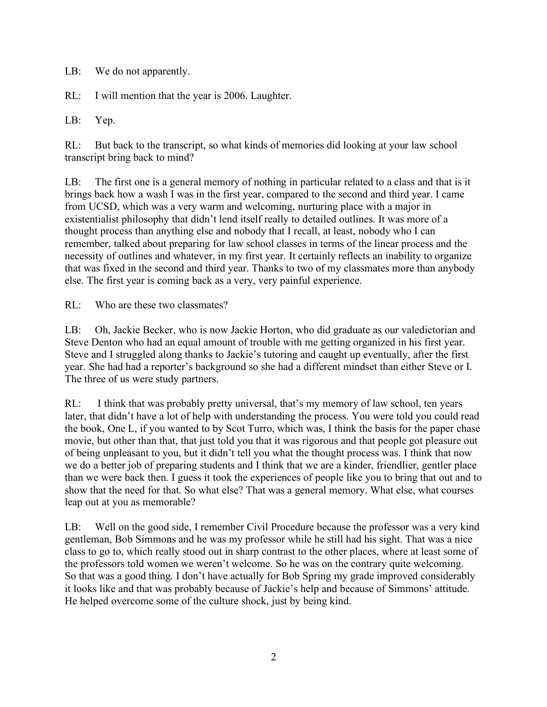LB: We do not apparently.

RL: I will mention that the year is 2006. Laughter.

LB: Yep.

RL: But back to the transcript, so what kinds of memories did looking at your law school transcript bring back to mind?

LB: The first one is a general memory of nothing in particular related to a class and that is it brings back how a wash I was in the first year, compared to the second and third year. I came from UCSD, which was a very warm and welcoming, nurturing place with a major in existentialist philosophy that didn't lend itself really to detailed outlines. It was more of a thought process than anything else and nobody that I recall, at least, nobody who I can remember, talked about preparing for law school classes in terms of the linear process and the necessity of outlines and whatever, in my first year. It certainly reflects an inability to organize that was fixed in the second and third year. Thanks to two of my classmates more than anybody else. The first year is coming back as a very, very painful experience.

RL: Who are these two classmates?

LB: Oh, Jackie Becker, who is now Jackie Horton, who did graduate as our valedictorian and Steve Denton who had an equal amount of trouble with me getting organized in his first year. Steve and I struggled along thanks to Jackie's tutoring and caught up eventually, after the first year. She had had a reporter's background so she had a different mindset than either Steve or I. The three of us were study partners.

RL: I think that was probably pretty universal, that's my memory of law school, ten years later, that didn't have a lot of help with understanding the process. You were told you could read the book, One L, if you wanted to by Scot Turro, which was, I think the basis for the paper chase movie, but other than that, that just told you that it was rigorous and that people got pleasure out of being unpleasant to you, but it didn't tell you what the thought process was. I think that now we do a better job of preparing students and I think that we are a kinder, friendlier, gentler place than we were back then. I guess it took the experiences of people like you to bring that out and to show that the need for that. So what else? That was a general memory. What else, what courses leap out at you as memorable?

LB: Well on the good side, I remember Civil Procedure because the professor was a very kind gentleman, Bob Simmons and he was my professor while he still had his sight. That was a nice class to go to, which really stood out in sharp contrast to the other places, where at least some of the professors told women we weren't welcome. So he was on the contrary quite welcoming. So that was a good thing. I don't have actually for Bob Spring my grade improved considerably it looks like and that was probably because of Jackie's help and because of Simmons' attitude. He helped overcome some of the culture shock, just by being kind.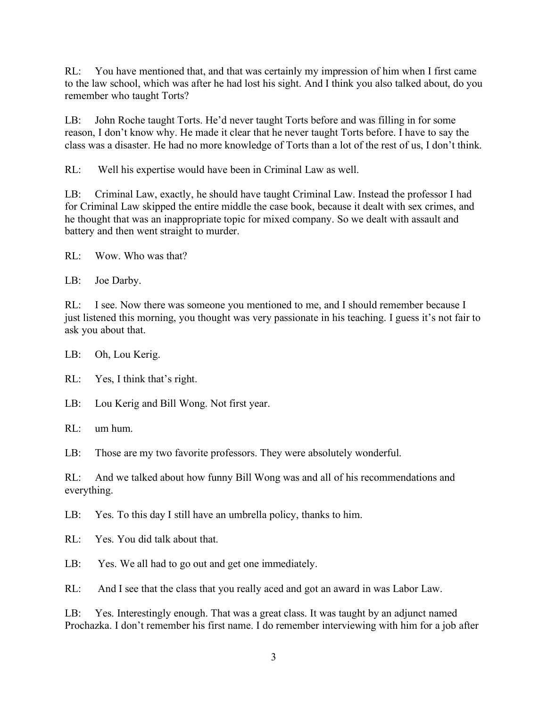RL: You have mentioned that, and that was certainly my impression of him when I first came to the law school, which was after he had lost his sight. And I think you also talked about, do you remember who taught Torts?

LB: John Roche taught Torts. He'd never taught Torts before and was filling in for some reason, I don't know why. He made it clear that he never taught Torts before. I have to say the class was a disaster. He had no more knowledge of Torts than a lot of the rest of us, I don't think.

RL: Well his expertise would have been in Criminal Law as well.

LB: Criminal Law, exactly, he should have taught Criminal Law. Instead the professor I had for Criminal Law skipped the entire middle the case book, because it dealt with sex crimes, and he thought that was an inappropriate topic for mixed company. So we dealt with assault and battery and then went straight to murder.

RL: Wow. Who was that?

LB: Joe Darby.

RL: I see. Now there was someone you mentioned to me, and I should remember because I just listened this morning, you thought was very passionate in his teaching. I guess it's not fair to ask you about that.

LB: Oh, Lou Kerig.

RL: Yes, I think that's right.

LB: Lou Kerig and Bill Wong. Not first year.

RL: um hum.

LB: Those are my two favorite professors. They were absolutely wonderful.

RL: And we talked about how funny Bill Wong was and all of his recommendations and everything.

LB: Yes. To this day I still have an umbrella policy, thanks to him.

RL: Yes. You did talk about that.

LB: Yes. We all had to go out and get one immediately.

RL: And I see that the class that you really aced and got an award in was Labor Law.

LB: Yes. Interestingly enough. That was a great class. It was taught by an adjunct named Prochazka. I don't remember his first name. I do remember interviewing with him for a job after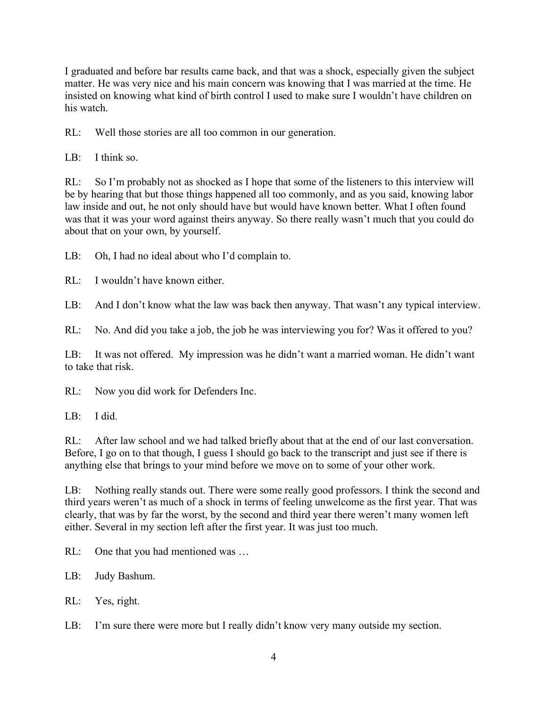I graduated and before bar results came back, and that was a shock, especially given the subject matter. He was very nice and his main concern was knowing that I was married at the time. He insisted on knowing what kind of birth control I used to make sure I wouldn't have children on his watch.

RL: Well those stories are all too common in our generation.

LB: I think so.

RL: So I'm probably not as shocked as I hope that some of the listeners to this interview will be by hearing that but those things happened all too commonly, and as you said, knowing labor law inside and out, he not only should have but would have known better. What I often found was that it was your word against theirs anyway. So there really wasn't much that you could do about that on your own, by yourself.

LB: Oh, I had no ideal about who I'd complain to.

RL: I wouldn't have known either.

LB: And I don't know what the law was back then anyway. That wasn't any typical interview.

RL: No. And did you take a job, the job he was interviewing you for? Was it offered to you?

LB: It was not offered. My impression was he didn't want a married woman. He didn't want to take that risk.

RL: Now you did work for Defenders Inc.

LB: I did.

RL: After law school and we had talked briefly about that at the end of our last conversation. Before, I go on to that though, I guess I should go back to the transcript and just see if there is anything else that brings to your mind before we move on to some of your other work.

LB: Nothing really stands out. There were some really good professors. I think the second and third years weren't as much of a shock in terms of feeling unwelcome as the first year. That was clearly, that was by far the worst, by the second and third year there weren't many women left either. Several in my section left after the first year. It was just too much.

RL: One that you had mentioned was ...

LB: Judy Bashum.

RL: Yes, right.

LB: I'm sure there were more but I really didn't know very many outside my section.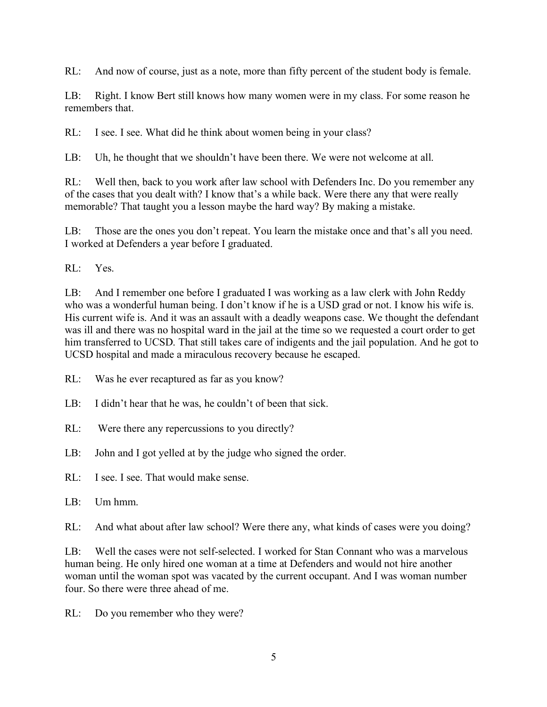RL: And now of course, just as a note, more than fifty percent of the student body is female.

LB: Right. I know Bert still knows how many women were in my class. For some reason he remembers that.

RL: I see. I see. What did he think about women being in your class?

LB: Uh, he thought that we shouldn't have been there. We were not welcome at all.

RL: Well then, back to you work after law school with Defenders Inc. Do you remember any of the cases that you dealt with? I know that's a while back. Were there any that were really memorable? That taught you a lesson maybe the hard way? By making a mistake.

LB: Those are the ones you don't repeat. You learn the mistake once and that's all you need. I worked at Defenders a year before I graduated.

RL: Yes.

LB: And I remember one before I graduated I was working as a law clerk with John Reddy who was a wonderful human being. I don't know if he is a USD grad or not. I know his wife is. His current wife is. And it was an assault with a deadly weapons case. We thought the defendant was ill and there was no hospital ward in the jail at the time so we requested a court order to get him transferred to UCSD. That still takes care of indigents and the jail population. And he got to UCSD hospital and made a miraculous recovery because he escaped.

- RL: Was he ever recaptured as far as you know?
- LB: I didn't hear that he was, he couldn't of been that sick.
- RL: Were there any repercussions to you directly?
- LB: John and I got yelled at by the judge who signed the order.
- RL: I see. I see. That would make sense.
- $LR:$  Um hmm

RL: And what about after law school? Were there any, what kinds of cases were you doing?

LB: Well the cases were not self-selected. I worked for Stan Connant who was a marvelous human being. He only hired one woman at a time at Defenders and would not hire another woman until the woman spot was vacated by the current occupant. And I was woman number four. So there were three ahead of me.

RL: Do you remember who they were?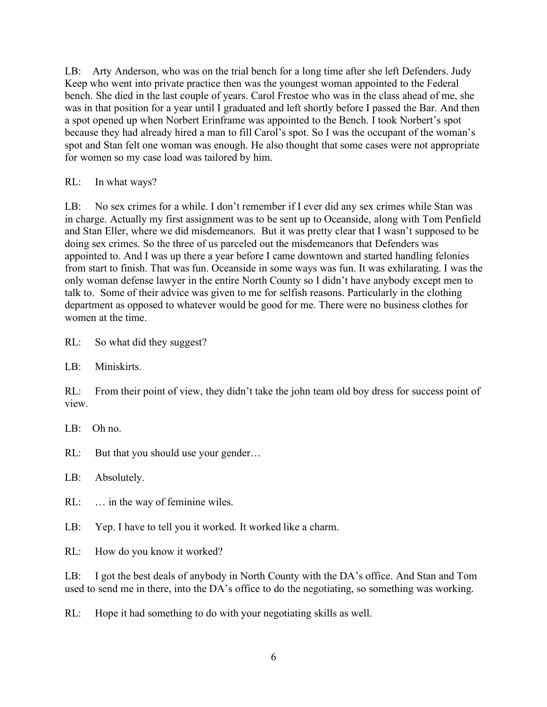LB: Arty Anderson, who was on the trial bench for a long time after she left Defenders. Judy Keep who went into private practice then was the youngest woman appointed to the Federal bench. She died in the last couple of years. Carol Frestoe who was in the class ahead of me, she was in that position for a year until I graduated and left shortly before I passed the Bar. And then a spot opened up when Norbert Erinframe was appointed to the Bench. I took Norbert's spot because they had already hired a man to fill Carol's spot. So I was the occupant of the woman's spot and Stan felt one woman was enough. He also thought that some cases were not appropriate for women so my case load was tailored by him.

RL: In what ways?

LB: No sex crimes for a while. I don't remember if I ever did any sex crimes while Stan was in charge. Actually my first assignment was to be sent up to Oceanside, along with Tom Penfield and Stan Eller, where we did misdemeanors. But it was pretty clear that I wasn't supposed to be doing sex crimes. So the three of us parceled out the misdemeanors that Defenders was appointed to. And I was up there a year before I came downtown and started handling felonies from start to finish. That was fun. Oceanside in some ways was fun. It was exhilarating. I was the only woman defense lawyer in the entire North County so I didn't have anybody except men to talk to. Some of their advice was given to me for selfish reasons. Particularly in the clothing department as opposed to whatever would be good for me. There were no business clothes for women at the time.

RL: So what did they suggest?

LB: Miniskirts.

RL: From their point of view, they didn't take the john team old boy dress for success point of view.

LB: Oh no.

RL: But that you should use your gender...

LB: Absolutely.

RL: ... in the way of feminine wiles.

LB: Yep. I have to tell you it worked. It worked like a charm.

RL: How do you know it worked?

LB: I got the best deals of anybody in North County with the DA's office. And Stan and Tom used to send me in there, into the DA's office to do the negotiating, so something was working.

RL: Hope it had something to do with your negotiating skills as well.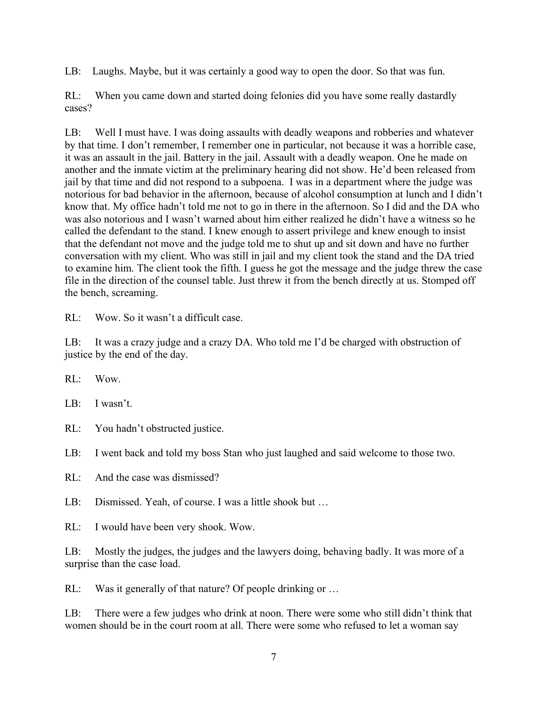LB: Laughs. Maybe, but it was certainly a good way to open the door. So that was fun.

RL: When you came down and started doing felonies did you have some really dastardly cases?

LB: Well I must have. I was doing assaults with deadly weapons and robberies and whatever by that time. I don't remember, I remember one in particular, not because it was a horrible case, it was an assault in the jail. Battery in the jail. Assault with a deadly weapon. One he made on another and the inmate victim at the preliminary hearing did not show. He'd been released from jail by that time and did not respond to a subpoena. I was in a department where the judge was notorious for bad behavior in the afternoon, because of alcohol consumption at lunch and I didn't know that. My office hadn't told me not to go in there in the afternoon. So I did and the DA who was also notorious and I wasn't warned about him either realized he didn't have a witness so he called the defendant to the stand. I knew enough to assert privilege and knew enough to insist that the defendant not move and the judge told me to shut up and sit down and have no further conversation with my client. Who was still in jail and my client took the stand and the DA tried to examine him. The client took the fifth. I guess he got the message and the judge threw the case file in the direction of the counsel table. Just threw it from the bench directly at us. Stomped off the bench, screaming.

RL: Wow. So it wasn't a difficult case.

LB: It was a crazy judge and a crazy DA. Who told me I'd be charged with obstruction of justice by the end of the day.

RL: Wow.

LB: I wasn't.

RL: You hadn't obstructed justice.

LB: I went back and told my boss Stan who just laughed and said welcome to those two.

RL: And the case was dismissed?

LB: Dismissed. Yeah, of course. I was a little shook but ...

RL: I would have been very shook. Wow.

LB: Mostly the judges, the judges and the lawyers doing, behaving badly. It was more of a surprise than the case load.

RL: Was it generally of that nature? Of people drinking or ...

LB: There were a few judges who drink at noon. There were some who still didn't think that women should be in the court room at all. There were some who refused to let a woman say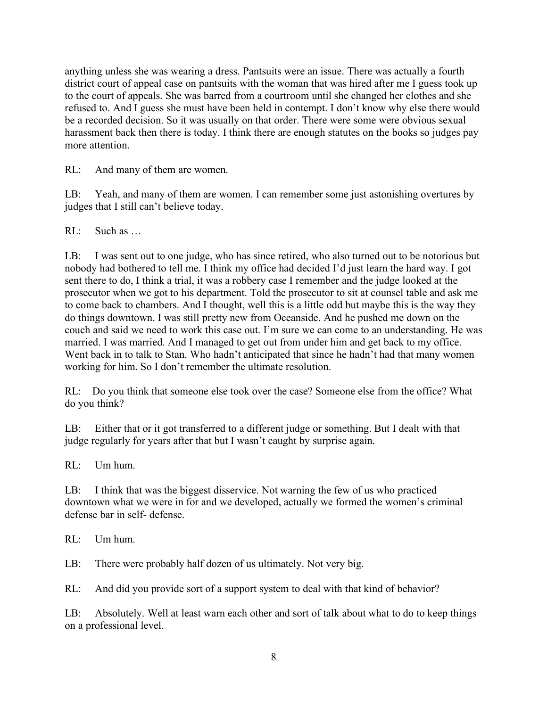anything unless she was wearing a dress. Pantsuits were an issue. There was actually a fourth district court of appeal case on pantsuits with the woman that was hired after me I guess took up to the court of appeals. She was barred from a courtroom until she changed her clothes and she refused to. And I guess she must have been held in contempt. I don't know why else there would be a recorded decision. So it was usually on that order. There were some were obvious sexual harassment back then there is today. I think there are enough statutes on the books so judges pay more attention.

RL: And many of them are women.

LB: Yeah, and many of them are women. I can remember some just astonishing overtures by judges that I still can't believe today.

RL: Such as …

LB: I was sent out to one judge, who has since retired, who also turned out to be notorious but nobody had bothered to tell me. I think my office had decided I'd just learn the hard way. I got sent there to do, I think a trial, it was a robbery case I remember and the judge looked at the prosecutor when we got to his department. Told the prosecutor to sit at counsel table and ask me to come back to chambers. And I thought, well this is a little odd but maybe this is the way they do things downtown. I was still pretty new from Oceanside. And he pushed me down on the couch and said we need to work this case out. I'm sure we can come to an understanding. He was married. I was married. And I managed to get out from under him and get back to my office. Went back in to talk to Stan. Who hadn't anticipated that since he hadn't had that many women working for him. So I don't remember the ultimate resolution.

RL: Do you think that someone else took over the case? Someone else from the office? What do you think?

LB: Either that or it got transferred to a different judge or something. But I dealt with that judge regularly for years after that but I wasn't caught by surprise again.

RL: Um hum.

LB: I think that was the biggest disservice. Not warning the few of us who practiced downtown what we were in for and we developed, actually we formed the women's criminal defense bar in self- defense.

RL: Um hum.

LB: There were probably half dozen of us ultimately. Not very big.

RL: And did you provide sort of a support system to deal with that kind of behavior?

LB: Absolutely. Well at least warn each other and sort of talk about what to do to keep things on a professional level.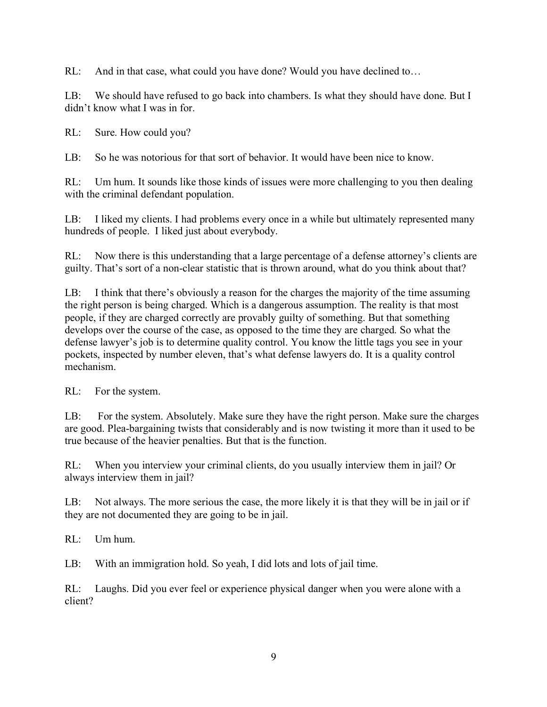RL: And in that case, what could you have done? Would you have declined to...

LB: We should have refused to go back into chambers. Is what they should have done. But I didn't know what I was in for.

RL: Sure. How could you?

LB: So he was notorious for that sort of behavior. It would have been nice to know.

RL: Um hum. It sounds like those kinds of issues were more challenging to you then dealing with the criminal defendant population.

LB: I liked my clients. I had problems every once in a while but ultimately represented many hundreds of people. I liked just about everybody.

RL: Now there is this understanding that a large percentage of a defense attorney's clients are guilty. That's sort of a non-clear statistic that is thrown around, what do you think about that?

LB: I think that there's obviously a reason for the charges the majority of the time assuming the right person is being charged. Which is a dangerous assumption. The reality is that most people, if they are charged correctly are provably guilty of something. But that something develops over the course of the case, as opposed to the time they are charged. So what the defense lawyer's job is to determine quality control. You know the little tags you see in your pockets, inspected by number eleven, that's what defense lawyers do. It is a quality control mechanism.

RL: For the system.

LB: For the system. Absolutely. Make sure they have the right person. Make sure the charges are good. Plea-bargaining twists that considerably and is now twisting it more than it used to be true because of the heavier penalties. But that is the function.

RL: When you interview your criminal clients, do you usually interview them in jail? Or always interview them in jail?

LB: Not always. The more serious the case, the more likely it is that they will be in jail or if they are not documented they are going to be in jail.

RL: Um hum.

LB: With an immigration hold. So yeah, I did lots and lots of jail time.

RL: Laughs. Did you ever feel or experience physical danger when you were alone with a client?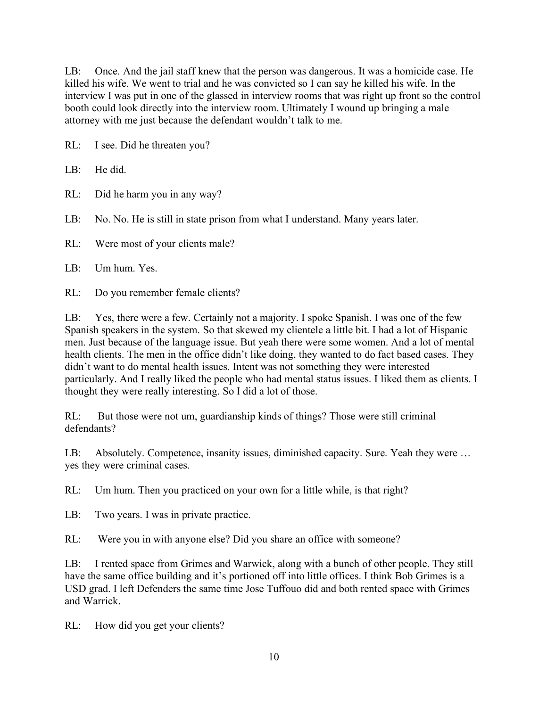LB: Once. And the jail staff knew that the person was dangerous. It was a homicide case. He killed his wife. We went to trial and he was convicted so I can say he killed his wife. In the interview I was put in one of the glassed in interview rooms that was right up front so the control booth could look directly into the interview room. Ultimately I wound up bringing a male attorney with me just because the defendant wouldn't talk to me.

RL: I see. Did he threaten you?

LB: He did.

RL: Did he harm you in any way?

LB: No. No. He is still in state prison from what I understand. Many years later.

RL: Were most of your clients male?

LB: Um hum. Yes.

RL: Do you remember female clients?

LB: Yes, there were a few. Certainly not a majority. I spoke Spanish. I was one of the few Spanish speakers in the system. So that skewed my clientele a little bit. I had a lot of Hispanic men. Just because of the language issue. But yeah there were some women. And a lot of mental health clients. The men in the office didn't like doing, they wanted to do fact based cases. They didn't want to do mental health issues. Intent was not something they were interested particularly. And I really liked the people who had mental status issues. I liked them as clients. I thought they were really interesting. So I did a lot of those.

RL: But those were not um, guardianship kinds of things? Those were still criminal defendants?

LB: Absolutely. Competence, insanity issues, diminished capacity. Sure. Yeah they were … yes they were criminal cases.

RL: Um hum. Then you practiced on your own for a little while, is that right?

LB: Two years. I was in private practice.

RL: Were you in with anyone else? Did you share an office with someone?

LB: I rented space from Grimes and Warwick, along with a bunch of other people. They still have the same office building and it's portioned off into little offices. I think Bob Grimes is a USD grad. I left Defenders the same time Jose Tuffouo did and both rented space with Grimes and Warrick.

RL: How did you get your clients?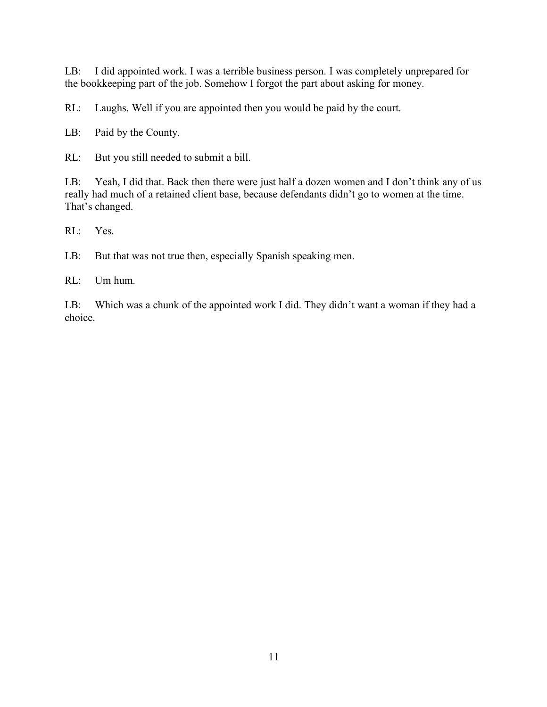LB: I did appointed work. I was a terrible business person. I was completely unprepared for the bookkeeping part of the job. Somehow I forgot the part about asking for money.

RL: Laughs. Well if you are appointed then you would be paid by the court.

LB: Paid by the County.

RL: But you still needed to submit a bill.

LB: Yeah, I did that. Back then there were just half a dozen women and I don't think any of us really had much of a retained client base, because defendants didn't go to women at the time. That's changed.

RL: Yes.

LB: But that was not true then, especially Spanish speaking men.

RL: Um hum.

LB: Which was a chunk of the appointed work I did. They didn't want a woman if they had a choice.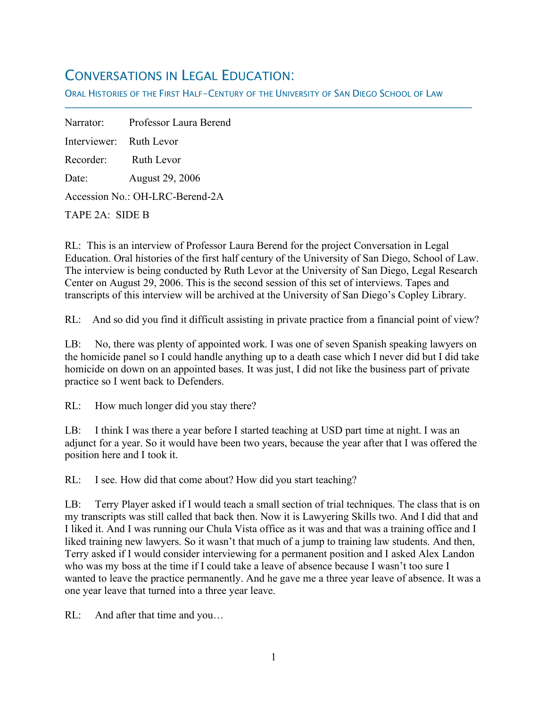# CONVERSATIONS IN LEGAL EDUCATION:

ORAL HISTORIES OF THE FIRST HALF-CENTURY OF THE UNIVERSITY OF SAN DIEGO SCHOOL OF LAW

Narrator: Professor Laura Berend Interviewer: Ruth Levor Recorder: Ruth Levor Date: August 29, 2006 Accession No.: OH-LRC-Berend-2A

TAPE 2A: SIDE B

f

RL: This is an interview of Professor Laura Berend for the project Conversation in Legal Education. Oral histories of the first half century of the University of San Diego, School of Law. The interview is being conducted by Ruth Levor at the University of San Diego, Legal Research Center on August 29, 2006. This is the second session of this set of interviews. Tapes and transcripts of this interview will be archived at the University of San Diego's Copley Library.

RL: And so did you find it difficult assisting in private practice from a financial point of view?

LB: No, there was plenty of appointed work. I was one of seven Spanish speaking lawyers on the homicide panel so I could handle anything up to a death case which I never did but I did take homicide on down on an appointed bases. It was just, I did not like the business part of private practice so I went back to Defenders.

RL: How much longer did you stay there?

LB: I think I was there a year before I started teaching at USD part time at night. I was an adjunct for a year. So it would have been two years, because the year after that I was offered the position here and I took it.

RL: I see. How did that come about? How did you start teaching?

LB: Terry Player asked if I would teach a small section of trial techniques. The class that is on my transcripts was still called that back then. Now it is Lawyering Skills two. And I did that and I liked it. And I was running our Chula Vista office as it was and that was a training office and I liked training new lawyers. So it wasn't that much of a jump to training law students. And then, Terry asked if I would consider interviewing for a permanent position and I asked Alex Landon who was my boss at the time if I could take a leave of absence because I wasn't too sure I wanted to leave the practice permanently. And he gave me a three year leave of absence. It was a one year leave that turned into a three year leave.

RL: And after that time and you...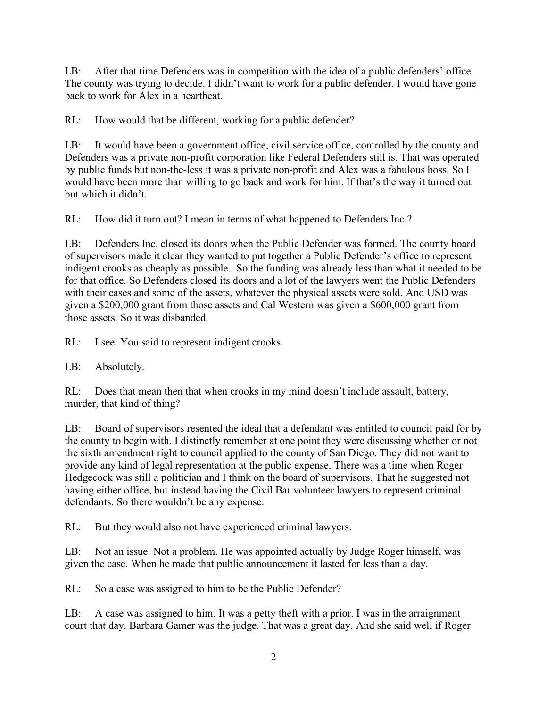LB: After that time Defenders was in competition with the idea of a public defenders' office. The county was trying to decide. I didn't want to work for a public defender. I would have gone back to work for Alex in a heartbeat.

RL: How would that be different, working for a public defender?

LB: It would have been a government office, civil service office, controlled by the county and Defenders was a private non-profit corporation like Federal Defenders still is. That was operated by public funds but non-the-less it was a private non-profit and Alex was a fabulous boss. So I would have been more than willing to go back and work for him. If that's the way it turned out but which it didn't.

RL: How did it turn out? I mean in terms of what happened to Defenders Inc.?

LB: Defenders Inc. closed its doors when the Public Defender was formed. The county board of supervisors made it clear they wanted to put together a Public Defender's office to represent indigent crooks as cheaply as possible. So the funding was already less than what it needed to be for that office. So Defenders closed its doors and a lot of the lawyers went the Public Defenders with their cases and some of the assets, whatever the physical assets were sold. And USD was given a \$200,000 grant from those assets and Cal Western was given a \$600,000 grant from those assets. So it was disbanded.

RL: I see. You said to represent indigent crooks.

LB: Absolutely.

RL: Does that mean then that when crooks in my mind doesn't include assault, battery, murder, that kind of thing?

LB: Board of supervisors resented the ideal that a defendant was entitled to council paid for by the county to begin with. I distinctly remember at one point they were discussing whether or not the sixth amendment right to council applied to the county of San Diego. They did not want to provide any kind of legal representation at the public expense. There was a time when Roger Hedgecock was still a politician and I think on the board of supervisors. That he suggested not having either office, but instead having the Civil Bar volunteer lawyers to represent criminal defendants. So there wouldn't be any expense.

RL: But they would also not have experienced criminal lawyers.

LB: Not an issue. Not a problem. He was appointed actually by Judge Roger himself, was given the case. When he made that public announcement it lasted for less than a day.

RL: So a case was assigned to him to be the Public Defender?

LB: A case was assigned to him. It was a petty theft with a prior. I was in the arraignment court that day. Barbara Gamer was the judge. That was a great day. And she said well if Roger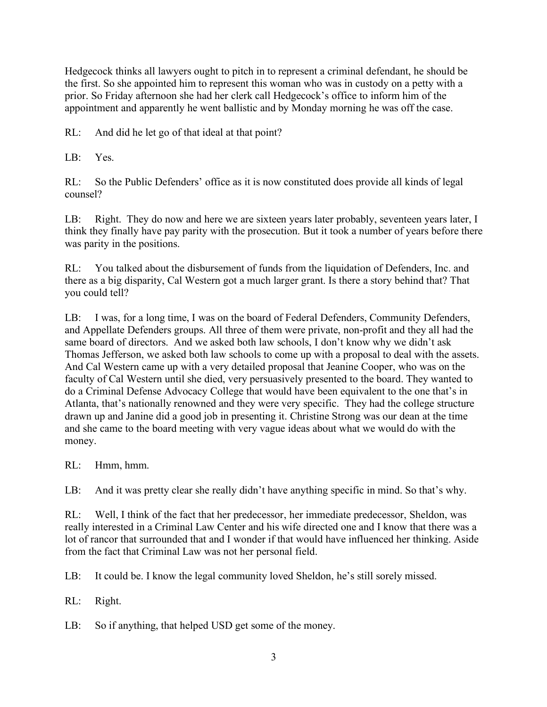Hedgecock thinks all lawyers ought to pitch in to represent a criminal defendant, he should be the first. So she appointed him to represent this woman who was in custody on a petty with a prior. So Friday afternoon she had her clerk call Hedgecock's office to inform him of the appointment and apparently he went ballistic and by Monday morning he was off the case.

RL: And did he let go of that ideal at that point?

LB: Yes.

RL: So the Public Defenders' office as it is now constituted does provide all kinds of legal counsel?

LB: Right. They do now and here we are sixteen years later probably, seventeen years later, I think they finally have pay parity with the prosecution. But it took a number of years before there was parity in the positions.

RL: You talked about the disbursement of funds from the liquidation of Defenders, Inc. and there as a big disparity, Cal Western got a much larger grant. Is there a story behind that? That you could tell?

LB: I was, for a long time, I was on the board of Federal Defenders, Community Defenders, and Appellate Defenders groups. All three of them were private, non-profit and they all had the same board of directors. And we asked both law schools, I don't know why we didn't ask Thomas Jefferson, we asked both law schools to come up with a proposal to deal with the assets. And Cal Western came up with a very detailed proposal that Jeanine Cooper, who was on the faculty of Cal Western until she died, very persuasively presented to the board. They wanted to do a Criminal Defense Advocacy College that would have been equivalent to the one that's in Atlanta, that's nationally renowned and they were very specific. They had the college structure drawn up and Janine did a good job in presenting it. Christine Strong was our dean at the time and she came to the board meeting with very vague ideas about what we would do with the money.

RL: Hmm, hmm.

LB: And it was pretty clear she really didn't have anything specific in mind. So that's why.

RL: Well, I think of the fact that her predecessor, her immediate predecessor, Sheldon, was really interested in a Criminal Law Center and his wife directed one and I know that there was a lot of rancor that surrounded that and I wonder if that would have influenced her thinking. Aside from the fact that Criminal Law was not her personal field.

LB: It could be. I know the legal community loved Sheldon, he's still sorely missed.

RL: Right.

LB: So if anything, that helped USD get some of the money.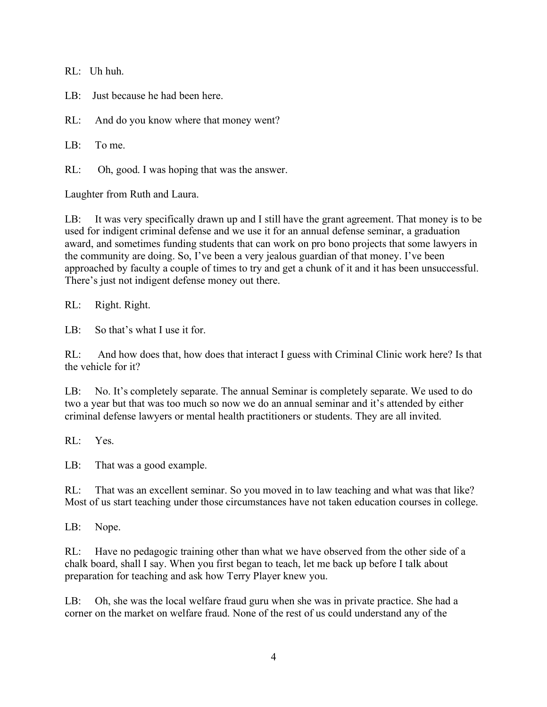RL: Uh huh.

 $LR:$  Just because he had been here.

RL: And do you know where that money went?

LB: To me.

RL: Oh, good. I was hoping that was the answer.

Laughter from Ruth and Laura.

LB: It was very specifically drawn up and I still have the grant agreement. That money is to be used for indigent criminal defense and we use it for an annual defense seminar, a graduation award, and sometimes funding students that can work on pro bono projects that some lawyers in the community are doing. So, I've been a very jealous guardian of that money. I've been approached by faculty a couple of times to try and get a chunk of it and it has been unsuccessful. There's just not indigent defense money out there.

RL: Right. Right.

LB: So that's what I use it for.

RL: And how does that, how does that interact I guess with Criminal Clinic work here? Is that the vehicle for it?

LB: No. It's completely separate. The annual Seminar is completely separate. We used to do two a year but that was too much so now we do an annual seminar and it's attended by either criminal defense lawyers or mental health practitioners or students. They are all invited.

RL: Yes.

LB: That was a good example.

RL: That was an excellent seminar. So you moved in to law teaching and what was that like? Most of us start teaching under those circumstances have not taken education courses in college.

LB: Nope.

RL: Have no pedagogic training other than what we have observed from the other side of a chalk board, shall I say. When you first began to teach, let me back up before I talk about preparation for teaching and ask how Terry Player knew you.

LB: Oh, she was the local welfare fraud guru when she was in private practice. She had a corner on the market on welfare fraud. None of the rest of us could understand any of the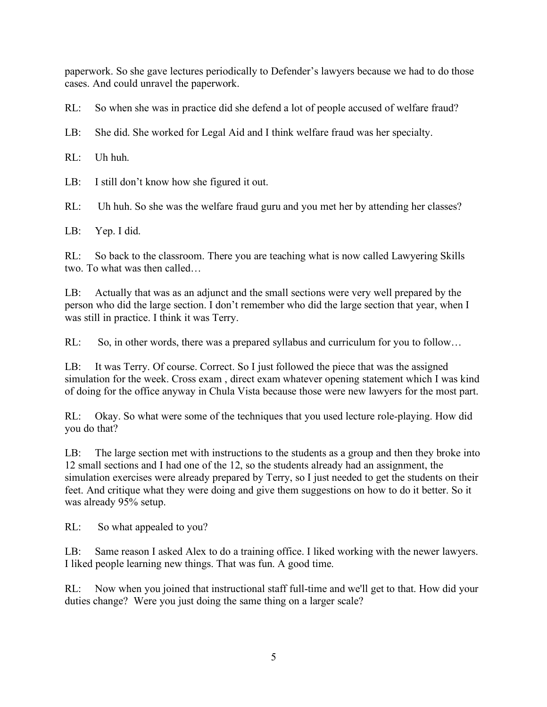paperwork. So she gave lectures periodically to Defender's lawyers because we had to do those cases. And could unravel the paperwork.

RL: So when she was in practice did she defend a lot of people accused of welfare fraud?

LB: She did. She worked for Legal Aid and I think welfare fraud was her specialty.

RL: Uh huh.

LB: I still don't know how she figured it out.

RL: Uh huh. So she was the welfare fraud guru and you met her by attending her classes?

LB: Yep. I did.

RL: So back to the classroom. There you are teaching what is now called Lawyering Skills two. To what was then called…

LB: Actually that was as an adjunct and the small sections were very well prepared by the person who did the large section. I don't remember who did the large section that year, when I was still in practice. I think it was Terry.

RL: So, in other words, there was a prepared syllabus and curriculum for you to follow...

LB: It was Terry. Of course. Correct. So I just followed the piece that was the assigned simulation for the week. Cross exam , direct exam whatever opening statement which I was kind of doing for the office anyway in Chula Vista because those were new lawyers for the most part.

RL: Okay. So what were some of the techniques that you used lecture role-playing. How did you do that?

LB: The large section met with instructions to the students as a group and then they broke into 12 small sections and I had one of the 12, so the students already had an assignment, the simulation exercises were already prepared by Terry, so I just needed to get the students on their feet. And critique what they were doing and give them suggestions on how to do it better. So it was already 95% setup.

RL: So what appealed to you?

LB: Same reason I asked Alex to do a training office. I liked working with the newer lawyers. I liked people learning new things. That was fun. A good time.

RL: Now when you joined that instructional staff full-time and we'll get to that. How did your duties change? Were you just doing the same thing on a larger scale?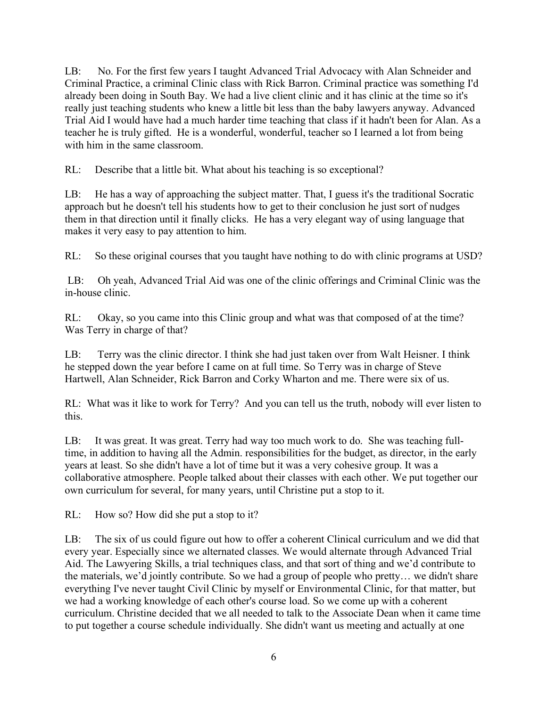LB: No. For the first few years I taught Advanced Trial Advocacy with Alan Schneider and Criminal Practice, a criminal Clinic class with Rick Barron. Criminal practice was something I'd already been doing in South Bay. We had a live client clinic and it has clinic at the time so it's really just teaching students who knew a little bit less than the baby lawyers anyway. Advanced Trial Aid I would have had a much harder time teaching that class if it hadn't been for Alan. As a teacher he is truly gifted. He is a wonderful, wonderful, teacher so I learned a lot from being with him in the same classroom.

RL: Describe that a little bit. What about his teaching is so exceptional?

LB: He has a way of approaching the subject matter. That, I guess it's the traditional Socratic approach but he doesn't tell his students how to get to their conclusion he just sort of nudges them in that direction until it finally clicks. He has a very elegant way of using language that makes it very easy to pay attention to him.

RL: So these original courses that you taught have nothing to do with clinic programs at USD?

LB: Oh yeah, Advanced Trial Aid was one of the clinic offerings and Criminal Clinic was the in-house clinic.

RL: Okay, so you came into this Clinic group and what was that composed of at the time? Was Terry in charge of that?

LB: Terry was the clinic director. I think she had just taken over from Walt Heisner. I think he stepped down the year before I came on at full time. So Terry was in charge of Steve Hartwell, Alan Schneider, Rick Barron and Corky Wharton and me. There were six of us.

RL: What was it like to work for Terry? And you can tell us the truth, nobody will ever listen to this.

LB: It was great. It was great. Terry had way too much work to do. She was teaching fulltime, in addition to having all the Admin. responsibilities for the budget, as director, in the early years at least. So she didn't have a lot of time but it was a very cohesive group. It was a collaborative atmosphere. People talked about their classes with each other. We put together our own curriculum for several, for many years, until Christine put a stop to it.

RL: How so? How did she put a stop to it?

LB: The six of us could figure out how to offer a coherent Clinical curriculum and we did that every year. Especially since we alternated classes. We would alternate through Advanced Trial Aid. The Lawyering Skills, a trial techniques class, and that sort of thing and we'd contribute to the materials, we'd jointly contribute. So we had a group of people who pretty… we didn't share everything I've never taught Civil Clinic by myself or Environmental Clinic, for that matter, but we had a working knowledge of each other's course load. So we come up with a coherent curriculum. Christine decided that we all needed to talk to the Associate Dean when it came time to put together a course schedule individually. She didn't want us meeting and actually at one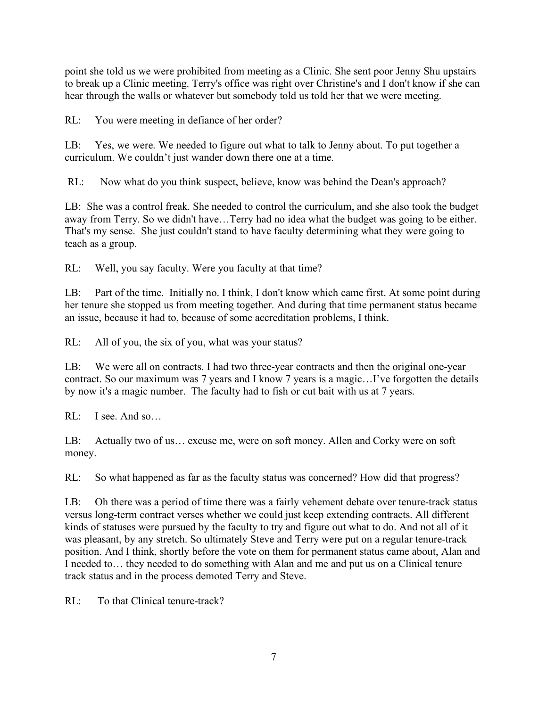point she told us we were prohibited from meeting as a Clinic. She sent poor Jenny Shu upstairs to break up a Clinic meeting. Terry's office was right over Christine's and I don't know if she can hear through the walls or whatever but somebody told us told her that we were meeting.

RL: You were meeting in defiance of her order?

LB: Yes, we were. We needed to figure out what to talk to Jenny about. To put together a curriculum. We couldn't just wander down there one at a time.

RL: Now what do you think suspect, believe, know was behind the Dean's approach?

LB: She was a control freak. She needed to control the curriculum, and she also took the budget away from Terry. So we didn't have…Terry had no idea what the budget was going to be either. That's my sense. She just couldn't stand to have faculty determining what they were going to teach as a group.

RL: Well, you say faculty. Were you faculty at that time?

LB: Part of the time. Initially no. I think, I don't know which came first. At some point during her tenure she stopped us from meeting together. And during that time permanent status became an issue, because it had to, because of some accreditation problems, I think.

RL: All of you, the six of you, what was your status?

LB: We were all on contracts. I had two three-year contracts and then the original one-year contract. So our maximum was 7 years and I know 7 years is a magic…I've forgotten the details by now it's a magic number. The faculty had to fish or cut bait with us at 7 years.

RL: I see. And so…

LB: Actually two of us… excuse me, were on soft money. Allen and Corky were on soft money.

RL: So what happened as far as the faculty status was concerned? How did that progress?

LB: Oh there was a period of time there was a fairly vehement debate over tenure-track status versus long-term contract verses whether we could just keep extending contracts. All different kinds of statuses were pursued by the faculty to try and figure out what to do. And not all of it was pleasant, by any stretch. So ultimately Steve and Terry were put on a regular tenure-track position. And I think, shortly before the vote on them for permanent status came about, Alan and I needed to… they needed to do something with Alan and me and put us on a Clinical tenure track status and in the process demoted Terry and Steve.

RL: To that Clinical tenure-track?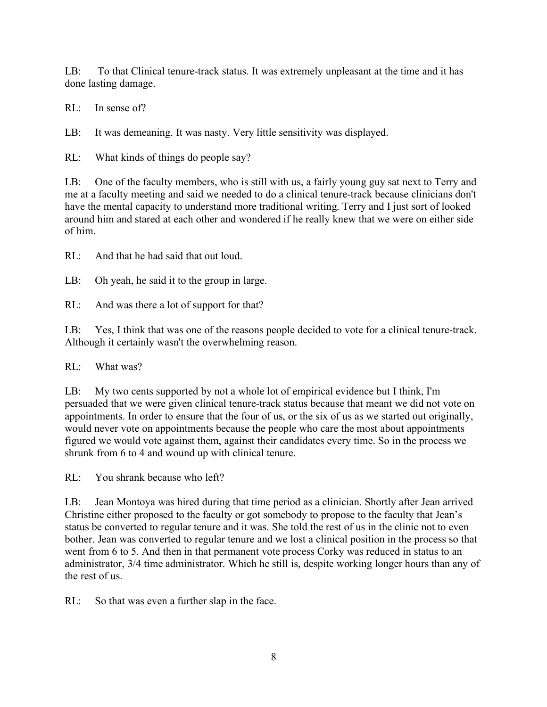LB: To that Clinical tenure-track status. It was extremely unpleasant at the time and it has done lasting damage.

RL: In sense of?

LB: It was demeaning. It was nasty. Very little sensitivity was displayed.

RL: What kinds of things do people say?

LB: One of the faculty members, who is still with us, a fairly young guy sat next to Terry and me at a faculty meeting and said we needed to do a clinical tenure-track because clinicians don't have the mental capacity to understand more traditional writing. Terry and I just sort of looked around him and stared at each other and wondered if he really knew that we were on either side of him.

RL: And that he had said that out loud.

LB: Oh yeah, he said it to the group in large.

RL: And was there a lot of support for that?

LB: Yes, I think that was one of the reasons people decided to vote for a clinical tenure-track. Although it certainly wasn't the overwhelming reason.

RL: What was?

LB: My two cents supported by not a whole lot of empirical evidence but I think, I'm persuaded that we were given clinical tenure-track status because that meant we did not vote on appointments. In order to ensure that the four of us, or the six of us as we started out originally, would never vote on appointments because the people who care the most about appointments figured we would vote against them, against their candidates every time. So in the process we shrunk from 6 to 4 and wound up with clinical tenure.

RL: You shrank because who left?

LB: Jean Montoya was hired during that time period as a clinician. Shortly after Jean arrived Christine either proposed to the faculty or got somebody to propose to the faculty that Jean's status be converted to regular tenure and it was. She told the rest of us in the clinic not to even bother. Jean was converted to regular tenure and we lost a clinical position in the process so that went from 6 to 5. And then in that permanent vote process Corky was reduced in status to an administrator, 3/4 time administrator. Which he still is, despite working longer hours than any of the rest of us.

RL: So that was even a further slap in the face.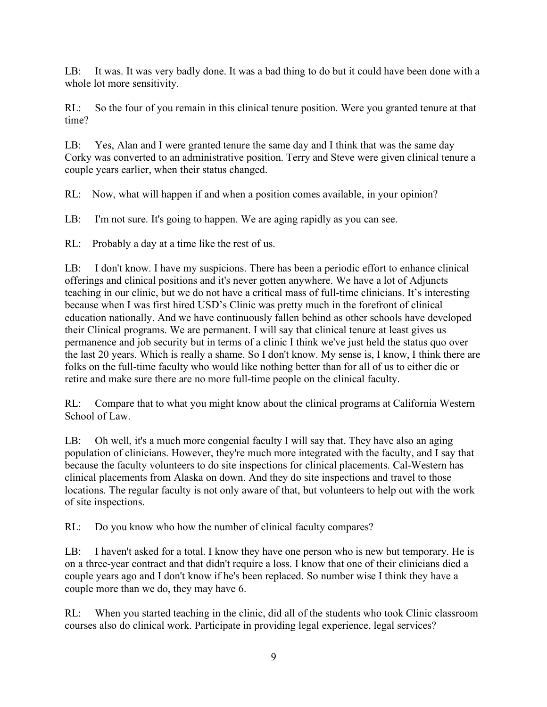LB: It was. It was very badly done. It was a bad thing to do but it could have been done with a whole lot more sensitivity.

RL: So the four of you remain in this clinical tenure position. Were you granted tenure at that time?

LB: Yes, Alan and I were granted tenure the same day and I think that was the same day Corky was converted to an administrative position. Terry and Steve were given clinical tenure a couple years earlier, when their status changed.

RL: Now, what will happen if and when a position comes available, in your opinion?

LB: I'm not sure. It's going to happen. We are aging rapidly as you can see.

RL: Probably a day at a time like the rest of us.

LB: I don't know. I have my suspicions. There has been a periodic effort to enhance clinical offerings and clinical positions and it's never gotten anywhere. We have a lot of Adjuncts teaching in our clinic, but we do not have a critical mass of full-time clinicians. It's interesting because when I was first hired USD's Clinic was pretty much in the forefront of clinical education nationally. And we have continuously fallen behind as other schools have developed their Clinical programs. We are permanent. I will say that clinical tenure at least gives us permanence and job security but in terms of a clinic I think we've just held the status quo over the last 20 years. Which is really a shame. So I don't know. My sense is, I know, I think there are folks on the full-time faculty who would like nothing better than for all of us to either die or retire and make sure there are no more full-time people on the clinical faculty.

RL: Compare that to what you might know about the clinical programs at California Western School of Law.

LB: Oh well, it's a much more congenial faculty I will say that. They have also an aging population of clinicians. However, they're much more integrated with the faculty, and I say that because the faculty volunteers to do site inspections for clinical placements. Cal-Western has clinical placements from Alaska on down. And they do site inspections and travel to those locations. The regular faculty is not only aware of that, but volunteers to help out with the work of site inspections.

RL: Do you know who how the number of clinical faculty compares?

LB: I haven't asked for a total. I know they have one person who is new but temporary. He is on a three-year contract and that didn't require a loss. I know that one of their clinicians died a couple years ago and I don't know if he's been replaced. So number wise I think they have a couple more than we do, they may have 6.

RL: When you started teaching in the clinic, did all of the students who took Clinic classroom courses also do clinical work. Participate in providing legal experience, legal services?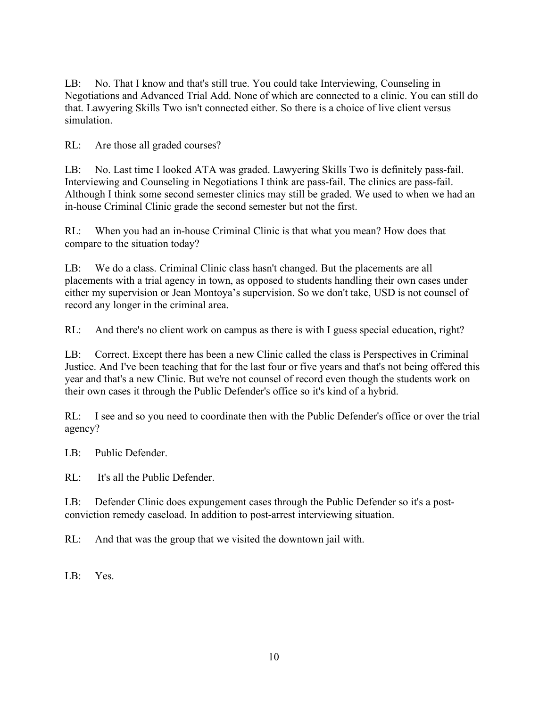LB: No. That I know and that's still true. You could take Interviewing, Counseling in Negotiations and Advanced Trial Add. None of which are connected to a clinic. You can still do that. Lawyering Skills Two isn't connected either. So there is a choice of live client versus simulation.

RL: Are those all graded courses?

LB: No. Last time I looked ATA was graded. Lawyering Skills Two is definitely pass-fail. Interviewing and Counseling in Negotiations I think are pass-fail. The clinics are pass-fail. Although I think some second semester clinics may still be graded. We used to when we had an in-house Criminal Clinic grade the second semester but not the first.

RL: When you had an in-house Criminal Clinic is that what you mean? How does that compare to the situation today?

LB: We do a class. Criminal Clinic class hasn't changed. But the placements are all placements with a trial agency in town, as opposed to students handling their own cases under either my supervision or Jean Montoya's supervision. So we don't take, USD is not counsel of record any longer in the criminal area.

RL: And there's no client work on campus as there is with I guess special education, right?

LB: Correct. Except there has been a new Clinic called the class is Perspectives in Criminal Justice. And I've been teaching that for the last four or five years and that's not being offered this year and that's a new Clinic. But we're not counsel of record even though the students work on their own cases it through the Public Defender's office so it's kind of a hybrid.

RL: I see and so you need to coordinate then with the Public Defender's office or over the trial agency?

LB: Public Defender.

RL: It's all the Public Defender.

LB: Defender Clinic does expungement cases through the Public Defender so it's a postconviction remedy caseload. In addition to post-arrest interviewing situation.

RL: And that was the group that we visited the downtown jail with.

LB: Yes.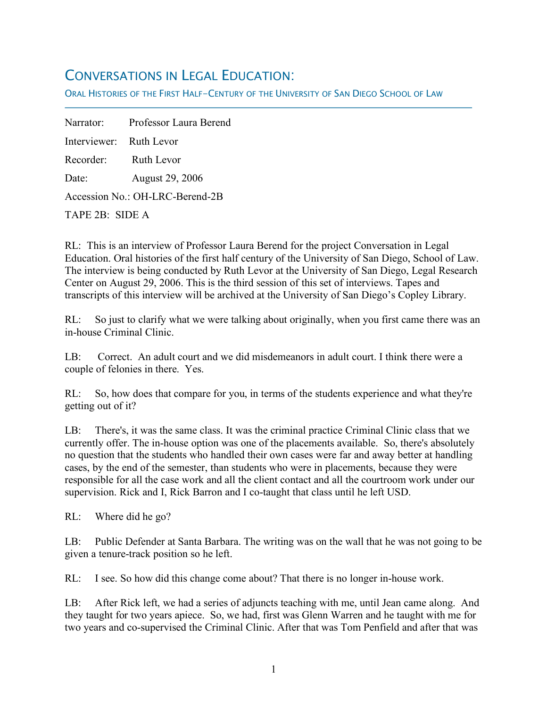## CONVERSATIONS IN LEGAL EDUCATION:

ORAL HISTORIES OF THE FIRST HALF-CENTURY OF THE UNIVERSITY OF SAN DIEGO SCHOOL OF LAW

Narrator: Professor Laura Berend Interviewer: Ruth Levor Recorder: Ruth Levor Date: August 29, 2006 Accession No.: OH-LRC-Berend-2B TAPE 2B: SIDE A

f

RL: This is an interview of Professor Laura Berend for the project Conversation in Legal Education. Oral histories of the first half century of the University of San Diego, School of Law. The interview is being conducted by Ruth Levor at the University of San Diego, Legal Research Center on August 29, 2006. This is the third session of this set of interviews. Tapes and transcripts of this interview will be archived at the University of San Diego's Copley Library.

RL: So just to clarify what we were talking about originally, when you first came there was an in-house Criminal Clinic.

LB: Correct. An adult court and we did misdemeanors in adult court. I think there were a couple of felonies in there. Yes.

RL: So, how does that compare for you, in terms of the students experience and what they're getting out of it?

LB: There's, it was the same class. It was the criminal practice Criminal Clinic class that we currently offer. The in-house option was one of the placements available. So, there's absolutely no question that the students who handled their own cases were far and away better at handling cases, by the end of the semester, than students who were in placements, because they were responsible for all the case work and all the client contact and all the courtroom work under our supervision. Rick and I, Rick Barron and I co-taught that class until he left USD.

RL: Where did he go?

LB: Public Defender at Santa Barbara. The writing was on the wall that he was not going to be given a tenure-track position so he left.

RL: I see. So how did this change come about? That there is no longer in-house work.

LB: After Rick left, we had a series of adjuncts teaching with me, until Jean came along. And they taught for two years apiece. So, we had, first was Glenn Warren and he taught with me for two years and co-supervised the Criminal Clinic. After that was Tom Penfield and after that was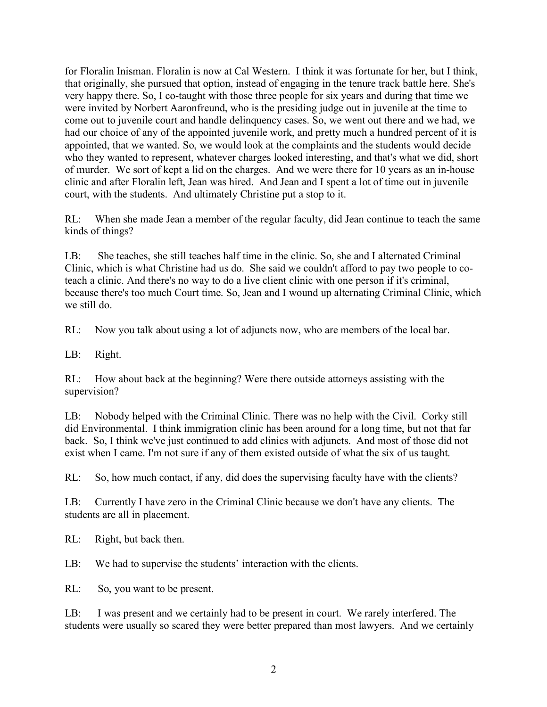for Floralin Inisman. Floralin is now at Cal Western. I think it was fortunate for her, but I think, that originally, she pursued that option, instead of engaging in the tenure track battle here. She's very happy there. So, I co-taught with those three people for six years and during that time we were invited by Norbert Aaronfreund, who is the presiding judge out in juvenile at the time to come out to juvenile court and handle delinquency cases. So, we went out there and we had, we had our choice of any of the appointed juvenile work, and pretty much a hundred percent of it is appointed, that we wanted. So, we would look at the complaints and the students would decide who they wanted to represent, whatever charges looked interesting, and that's what we did, short of murder. We sort of kept a lid on the charges. And we were there for 10 years as an in-house clinic and after Floralin left, Jean was hired. And Jean and I spent a lot of time out in juvenile court, with the students. And ultimately Christine put a stop to it.

RL: When she made Jean a member of the regular faculty, did Jean continue to teach the same kinds of things?

LB: She teaches, she still teaches half time in the clinic. So, she and I alternated Criminal Clinic, which is what Christine had us do. She said we couldn't afford to pay two people to coteach a clinic. And there's no way to do a live client clinic with one person if it's criminal, because there's too much Court time. So, Jean and I wound up alternating Criminal Clinic, which we still do.

RL: Now you talk about using a lot of adjuncts now, who are members of the local bar.

LB: Right.

RL: How about back at the beginning? Were there outside attorneys assisting with the supervision?

LB: Nobody helped with the Criminal Clinic. There was no help with the Civil. Corky still did Environmental. I think immigration clinic has been around for a long time, but not that far back. So, I think we've just continued to add clinics with adjuncts. And most of those did not exist when I came. I'm not sure if any of them existed outside of what the six of us taught.

RL: So, how much contact, if any, did does the supervising faculty have with the clients?

LB: Currently I have zero in the Criminal Clinic because we don't have any clients. The students are all in placement.

RL: Right, but back then.

LB: We had to supervise the students' interaction with the clients.

RL: So, you want to be present.

LB: I was present and we certainly had to be present in court. We rarely interfered. The students were usually so scared they were better prepared than most lawyers. And we certainly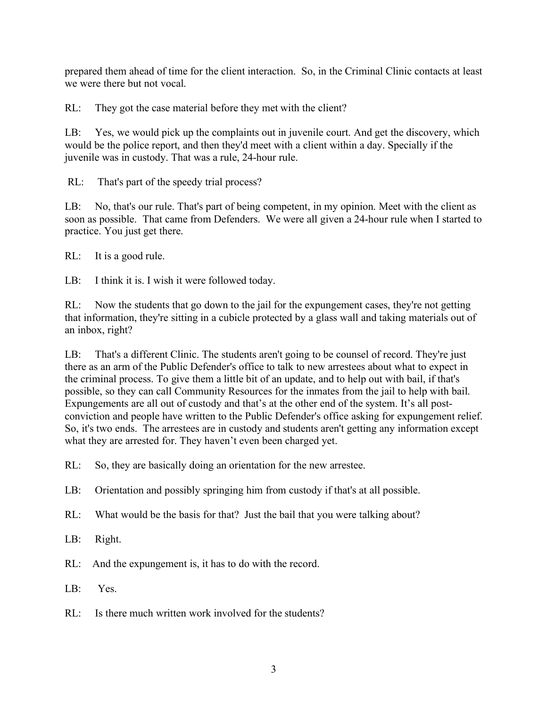prepared them ahead of time for the client interaction. So, in the Criminal Clinic contacts at least we were there but not vocal.

RL: They got the case material before they met with the client?

LB: Yes, we would pick up the complaints out in juvenile court. And get the discovery, which would be the police report, and then they'd meet with a client within a day. Specially if the juvenile was in custody. That was a rule, 24-hour rule.

RL: That's part of the speedy trial process?

LB: No, that's our rule. That's part of being competent, in my opinion. Meet with the client as soon as possible. That came from Defenders. We were all given a 24-hour rule when I started to practice. You just get there.

RL: It is a good rule.

LB: I think it is. I wish it were followed today.

RL: Now the students that go down to the jail for the expungement cases, they're not getting that information, they're sitting in a cubicle protected by a glass wall and taking materials out of an inbox, right?

LB: That's a different Clinic. The students aren't going to be counsel of record. They're just there as an arm of the Public Defender's office to talk to new arrestees about what to expect in the criminal process. To give them a little bit of an update, and to help out with bail, if that's possible, so they can call Community Resources for the inmates from the jail to help with bail. Expungements are all out of custody and that's at the other end of the system. It's all postconviction and people have written to the Public Defender's office asking for expungement relief. So, it's two ends. The arrestees are in custody and students aren't getting any information except what they are arrested for. They haven't even been charged yet.

RL: So, they are basically doing an orientation for the new arrestee.

- LB: Orientation and possibly springing him from custody if that's at all possible.
- RL: What would be the basis for that? Just the bail that you were talking about?
- LB: Right.
- RL: And the expungement is, it has to do with the record.
- LB: Yes.
- RL: Is there much written work involved for the students?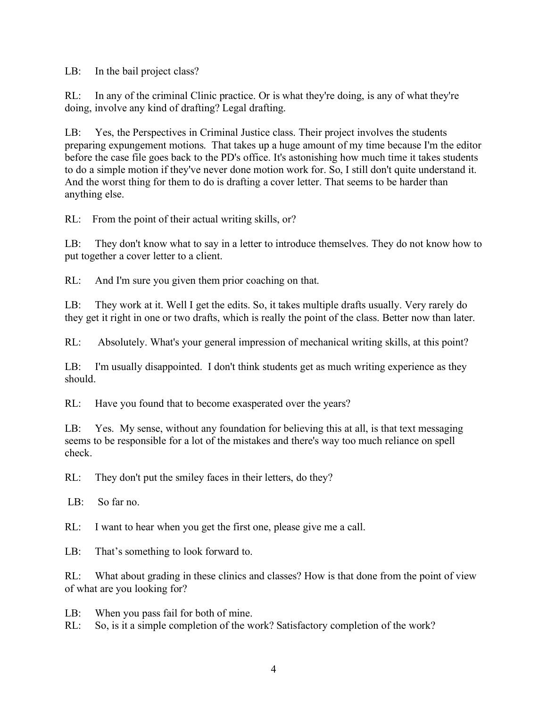LB: In the bail project class?

RL: In any of the criminal Clinic practice. Or is what they're doing, is any of what they're doing, involve any kind of drafting? Legal drafting.

LB: Yes, the Perspectives in Criminal Justice class. Their project involves the students preparing expungement motions. That takes up a huge amount of my time because I'm the editor before the case file goes back to the PD's office. It's astonishing how much time it takes students to do a simple motion if they've never done motion work for. So, I still don't quite understand it. And the worst thing for them to do is drafting a cover letter. That seems to be harder than anything else.

RL: From the point of their actual writing skills, or?

LB: They don't know what to say in a letter to introduce themselves. They do not know how to put together a cover letter to a client.

RL: And I'm sure you given them prior coaching on that.

LB: They work at it. Well I get the edits. So, it takes multiple drafts usually. Very rarely do they get it right in one or two drafts, which is really the point of the class. Better now than later.

RL: Absolutely. What's your general impression of mechanical writing skills, at this point?

LB: I'm usually disappointed. I don't think students get as much writing experience as they should.

RL: Have you found that to become exasperated over the years?

LB: Yes. My sense, without any foundation for believing this at all, is that text messaging seems to be responsible for a lot of the mistakes and there's way too much reliance on spell check.

RL: They don't put the smiley faces in their letters, do they?

LB: So far no.

RL: I want to hear when you get the first one, please give me a call.

LB: That's something to look forward to.

RL: What about grading in these clinics and classes? How is that done from the point of view of what are you looking for?

LB: When you pass fail for both of mine.

RL: So, is it a simple completion of the work? Satisfactory completion of the work?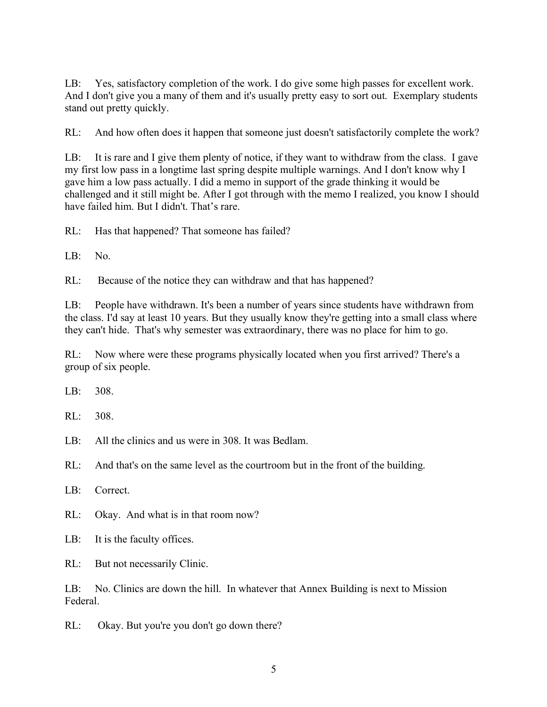LB: Yes, satisfactory completion of the work. I do give some high passes for excellent work. And I don't give you a many of them and it's usually pretty easy to sort out. Exemplary students stand out pretty quickly.

RL: And how often does it happen that someone just doesn't satisfactorily complete the work?

LB: It is rare and I give them plenty of notice, if they want to withdraw from the class. I gave my first low pass in a longtime last spring despite multiple warnings. And I don't know why I gave him a low pass actually. I did a memo in support of the grade thinking it would be challenged and it still might be. After I got through with the memo I realized, you know I should have failed him. But I didn't. That's rare.

RL: Has that happened? That someone has failed?

 $LR: No.$ 

RL: Because of the notice they can withdraw and that has happened?

LB: People have withdrawn. It's been a number of years since students have withdrawn from the class. I'd say at least 10 years. But they usually know they're getting into a small class where they can't hide. That's why semester was extraordinary, there was no place for him to go.

RL: Now where were these programs physically located when you first arrived? There's a group of six people.

 $LR$ : 308

RL: 308.

LB: All the clinics and us were in 308. It was Bedlam.

RL: And that's on the same level as the courtroom but in the front of the building.

LB: Correct.

RL: Okay. And what is in that room now?

LB: It is the faculty offices.

RL: But not necessarily Clinic.

LB: No. Clinics are down the hill. In whatever that Annex Building is next to Mission Federal.

RL: Okay. But you're you don't go down there?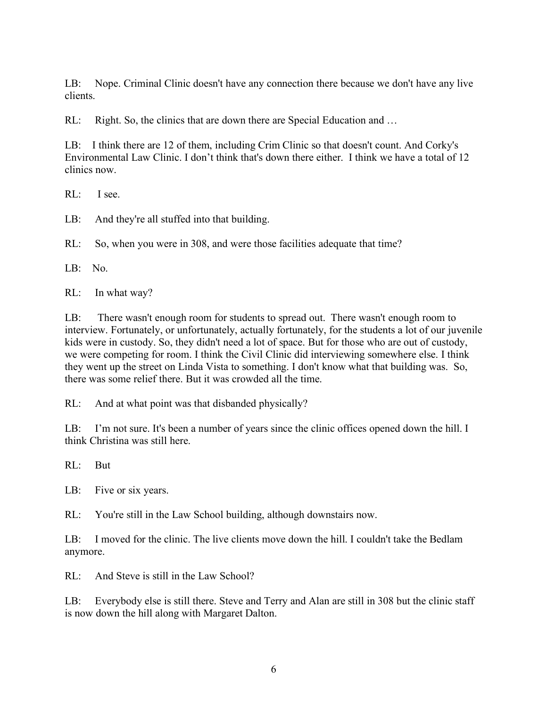LB: Nope. Criminal Clinic doesn't have any connection there because we don't have any live clients.

RL: Right. So, the clinics that are down there are Special Education and ...

LB: I think there are 12 of them, including Crim Clinic so that doesn't count. And Corky's Environmental Law Clinic. I don't think that's down there either. I think we have a total of 12 clinics now.

RL: I see.

LB: And they're all stuffed into that building.

RL: So, when you were in 308, and were those facilities adequate that time?

LB: No.

RL: In what way?

LB: There wasn't enough room for students to spread out. There wasn't enough room to interview. Fortunately, or unfortunately, actually fortunately, for the students a lot of our juvenile kids were in custody. So, they didn't need a lot of space. But for those who are out of custody, we were competing for room. I think the Civil Clinic did interviewing somewhere else. I think they went up the street on Linda Vista to something. I don't know what that building was. So, there was some relief there. But it was crowded all the time.

RL: And at what point was that disbanded physically?

LB: I'm not sure. It's been a number of years since the clinic offices opened down the hill. I think Christina was still here.

RL: But

LB: Five or six years.

RL: You're still in the Law School building, although downstairs now.

LB: I moved for the clinic. The live clients move down the hill. I couldn't take the Bedlam anymore.

RL: And Steve is still in the Law School?

LB: Everybody else is still there. Steve and Terry and Alan are still in 308 but the clinic staff is now down the hill along with Margaret Dalton.